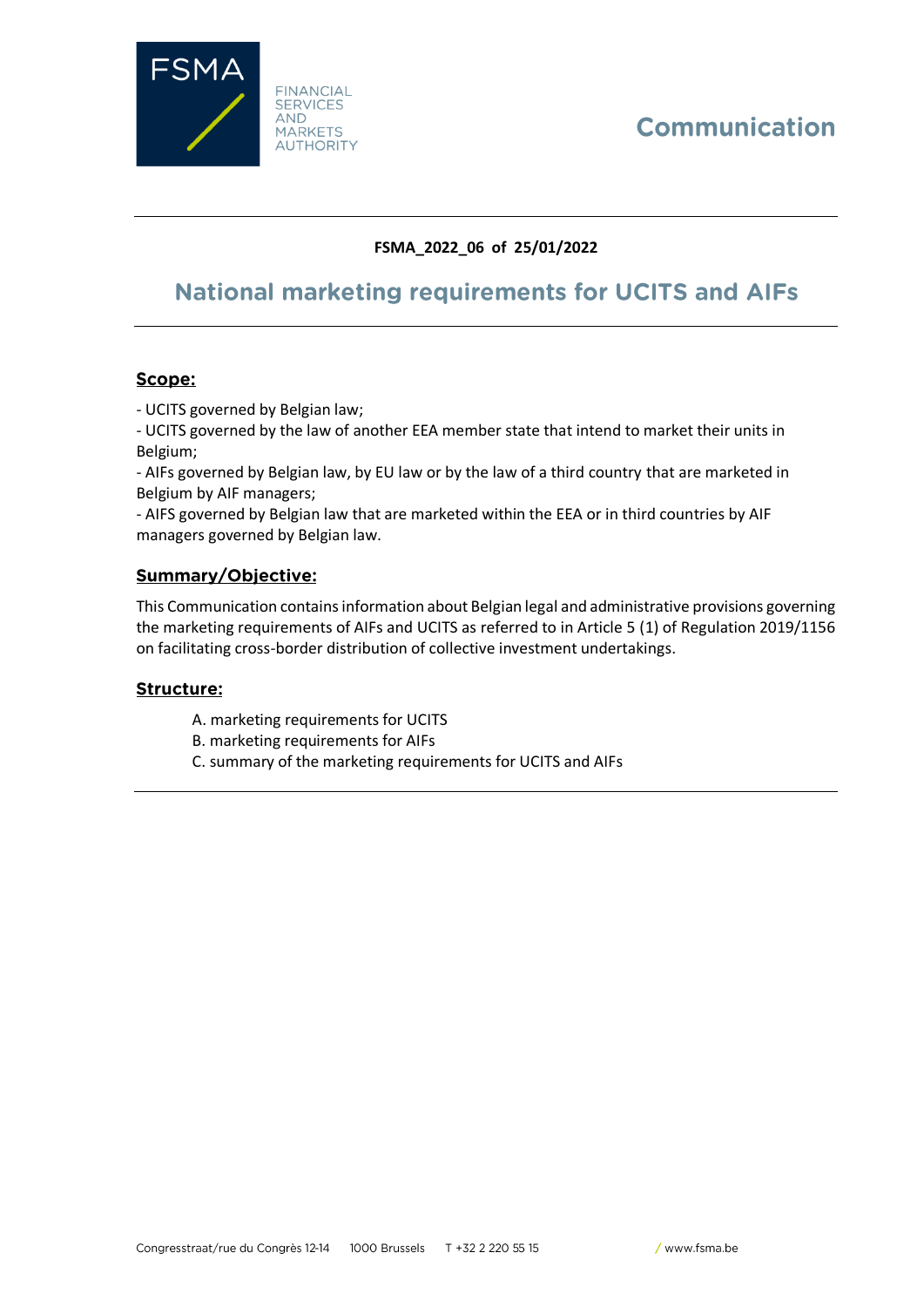

# **Communication**

# **FSMA\_2022\_06 of 25/01/2022**

# **National marketing requirements for UCITS and AIFs**

# Scope:

- UCITS governed by Belgian law;

- UCITS governed by the law of another EEA member state that intend to market their units in Belgium;

- AIFs governed by Belgian law, by EU law or by the law of a third country that are marketed in Belgium by AIF managers;

- AIFS governed by Belgian law that are marketed within the EEA or in third countries by AIF managers governed by Belgian law.

# **Summary/Objective:**

This Communication contains information about Belgian legal and administrative provisions governing the marketing requirements of AIFs and UCITS as referred to in Article 5 (1) of Regulation 2019/1156 on facilitating cross-border distribution of collective investment undertakings.

# **Structure:**

- A. marketing requirements for UCITS
- B. marketing requirements for AIFs
- C. summary of the marketing requirements for UCITS and AIFs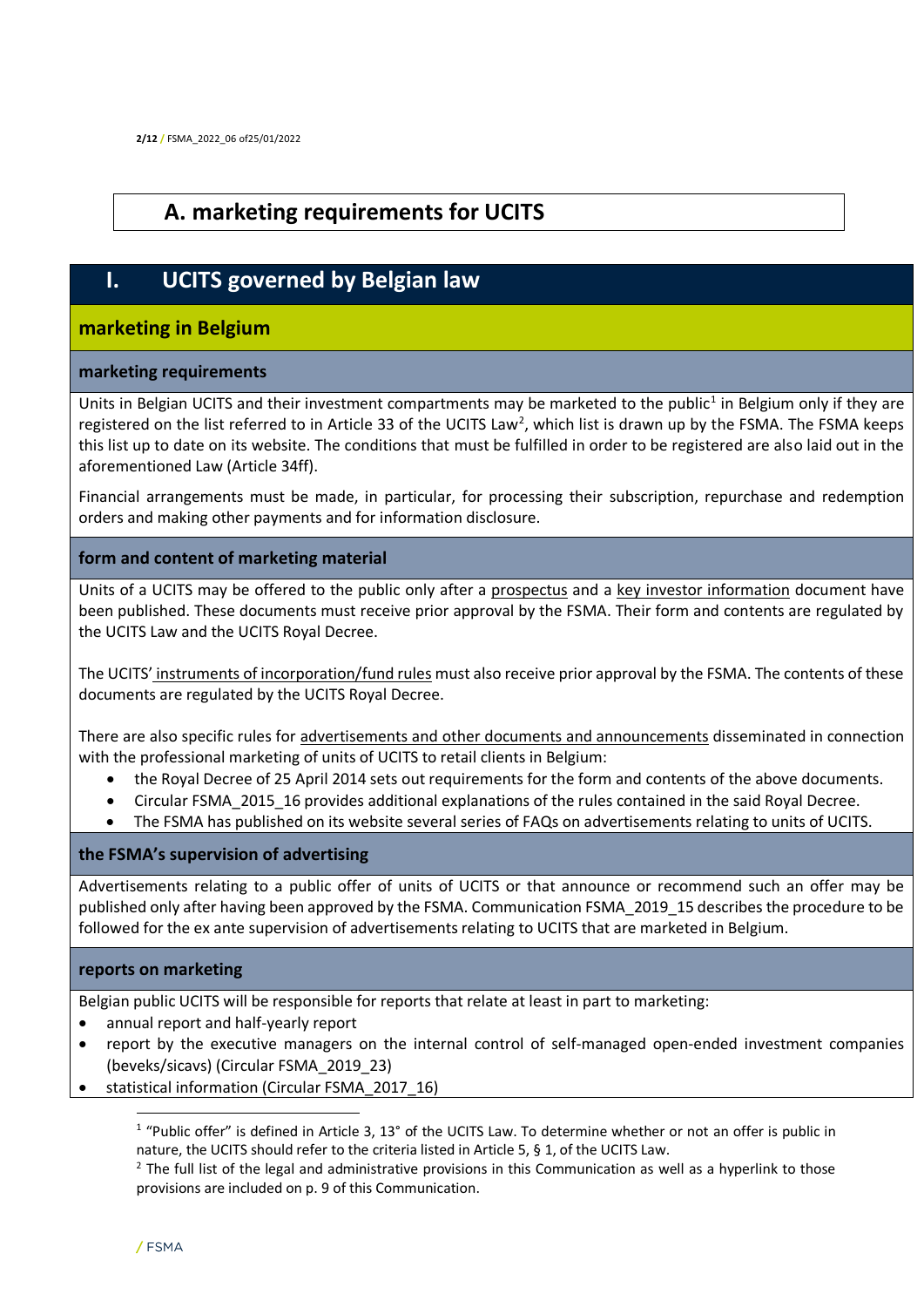# **A. marketing requirements for UCITS**

# **I. UCITS governed by Belgian law**

# **marketing in Belgium**

# **marketing requirements**

Units in Belgian UCITS and their investment compartments may be marketed to the public<sup>1</sup> in Belgium only if they are registered on the list referred to in Article 33 of the UCITS Law<sup>2</sup>, which list is drawn up by the FSMA. The FSMA keeps this list up to date on its website. The conditions that must be fulfilled in order to be registered are also laid out in the aforementioned Law (Article 34ff).

Financial arrangements must be made, in particular, for processing their subscription, repurchase and redemption orders and making other payments and for information disclosure.

# **form and content of marketing material**

Units of a UCITS may be offered to the public only after a prospectus and a key investor information document have been published. These documents must receive prior approval by the FSMA. Their form and contents are regulated by the UCITS Law and the UCITS Royal Decree.

The UCITS' instruments of incorporation/fund rules must also receive prior approval by the FSMA. The contents of these documents are regulated by the UCITS Royal Decree.

There are also specific rules for advertisements and other documents and announcements disseminated in connection with the professional marketing of units of UCITS to retail clients in Belgium:

- the Royal Decree of 25 April 2014 sets out requirements for the form and contents of the above documents.
- Circular FSMA\_2015\_16 provides additional explanations of the rules contained in the said Royal Decree.
- The FSMA has published on its website several series of FAQs on advertisements relating to units of UCITS.

# **the FSMA's supervision of advertising**

Advertisements relating to a public offer of units of UCITS or that announce or recommend such an offer may be published only after having been approved by the FSMA. Communication FSMA\_2019\_15 describes the procedure to be followed for the ex ante supervision of advertisements relating to UCITS that are marketed in Belgium.

# **reports on marketing**

Belgian public UCITS will be responsible for reports that relate at least in part to marketing:

- annual report and half-yearly report
- report by the executive managers on the internal control of self-managed open-ended investment companies (beveks/sicavs) (Circular FSMA\_2019\_23)
- statistical information (Circular FSMA\_2017\_16)

 $\overline{\phantom{a}}$ 

 $1$  "Public offer" is defined in Article 3, 13° of the UCITS Law. To determine whether or not an offer is public in nature, the UCITS should refer to the criteria listed in Article 5, § 1, of the UCITS Law.

 $2$  The full list of the legal and administrative provisions in this Communication as well as a hyperlink to those provisions are included on p. 9 of this Communication.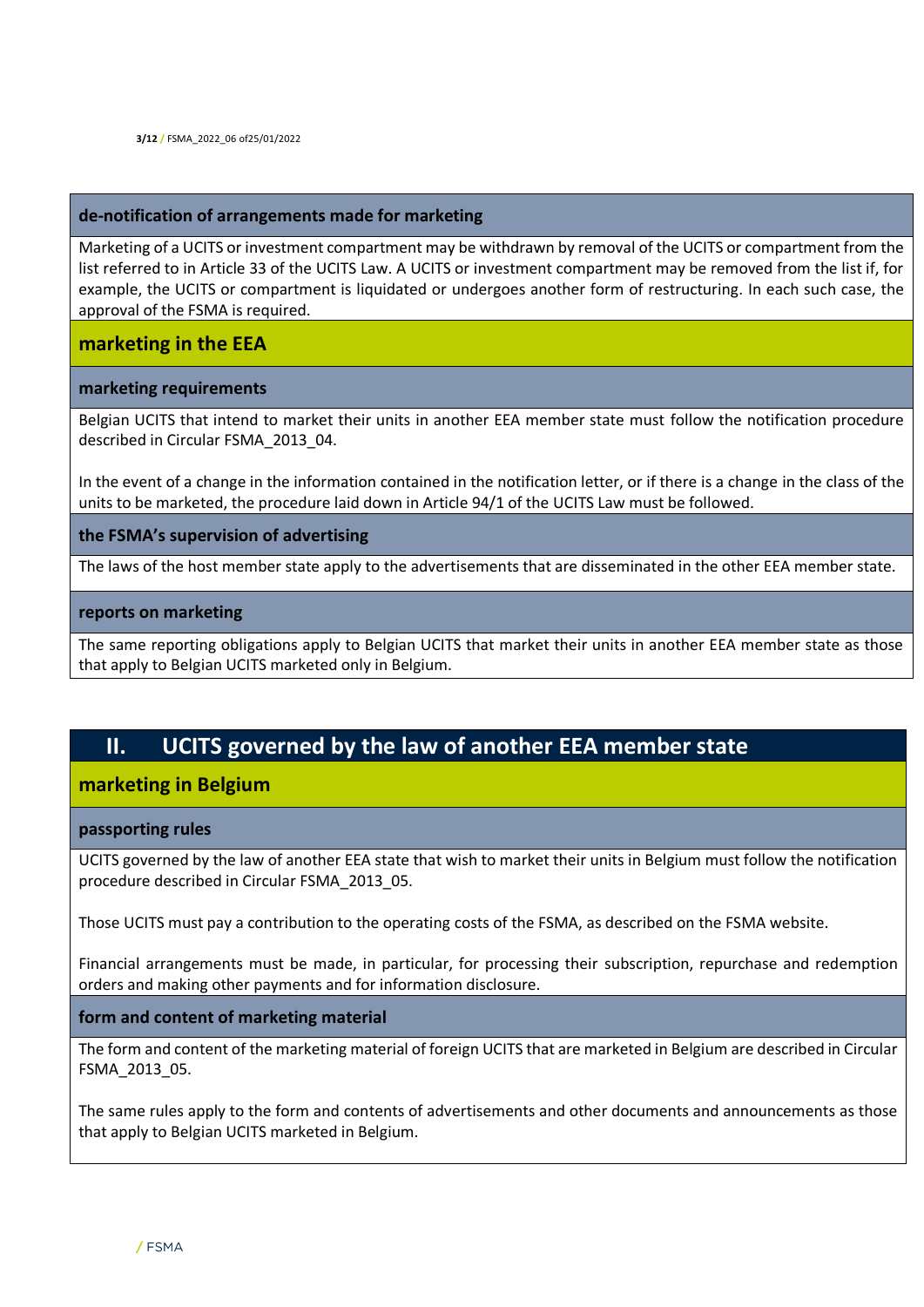## **de-notification of arrangements made for marketing**

Marketing of a UCITS or investment compartment may be withdrawn by removal of the UCITS or compartment from the list referred to in Article 33 of the UCITS Law. A UCITS or investment compartment may be removed from the list if, for example, the UCITS or compartment is liquidated or undergoes another form of restructuring. In each such case, the approval of the FSMA is required.

# **marketing in the EEA**

## **marketing requirements**

Belgian UCITS that intend to market their units in another EEA member state must follow the notification procedure described in Circular FSMA\_2013\_04.

In the event of a change in the information contained in the notification letter, or if there is a change in the class of the units to be marketed, the procedure laid down in Article 94/1 of the UCITS Law must be followed.

## **the FSMA's supervision of advertising**

The laws of the host member state apply to the advertisements that are disseminated in the other EEA member state.

## **reports on marketing**

The same reporting obligations apply to Belgian UCITS that market their units in another EEA member state as those that apply to Belgian UCITS marketed only in Belgium.

# **II. UCITS governed by the law of another EEA member state**

# **marketing in Belgium**

#### **passporting rules**

UCITS governed by the law of another EEA state that wish to market their units in Belgium must follow the notification procedure described in Circular FSMA\_2013\_05.

Those UCITS must pay a contribution to the operating costs of the FSMA, as described on the FSMA website.

Financial arrangements must be made, in particular, for processing their subscription, repurchase and redemption orders and making other payments and for information disclosure.

## **form and content of marketing material**

The form and content of the marketing material of foreign UCITS that are marketed in Belgium are described in Circular FSMA\_2013\_05.

The same rules apply to the form and contents of advertisements and other documents and announcements as those that apply to Belgian UCITS marketed in Belgium.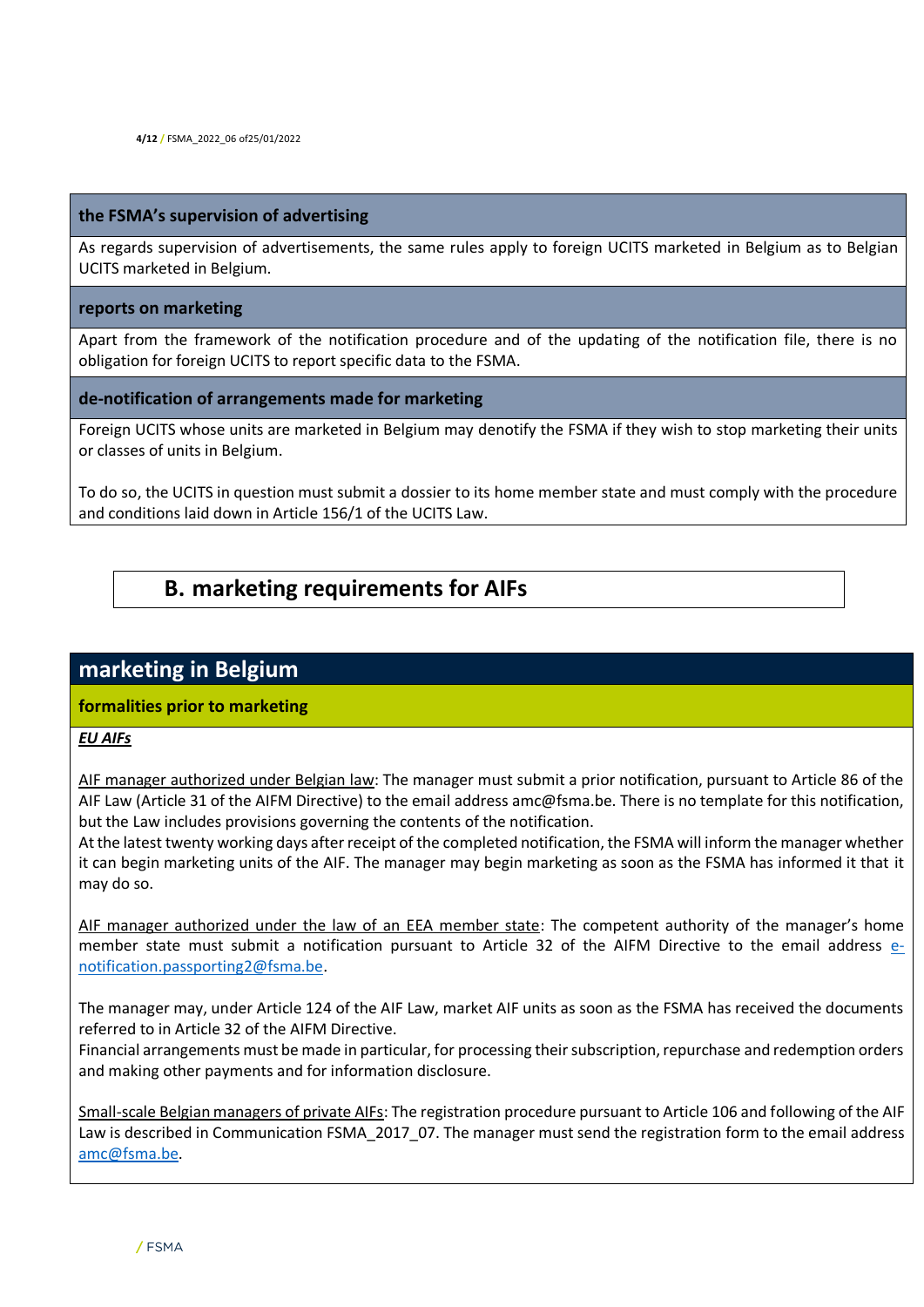## **the FSMA's supervision of advertising**

As regards supervision of advertisements, the same rules apply to foreign UCITS marketed in Belgium as to Belgian UCITS marketed in Belgium.

### **reports on marketing**

Apart from the framework of the notification procedure and of the updating of the notification file, there is no obligation for foreign UCITS to report specific data to the FSMA.

## **de-notification of arrangements made for marketing**

Foreign UCITS whose units are marketed in Belgium may denotify the FSMA if they wish to stop marketing their units or classes of units in Belgium.

To do so, the UCITS in question must submit a dossier to its home member state and must comply with the procedure and conditions laid down in Article 156/1 of the UCITS Law.

# **B. marketing requirements for AIFs**

# **marketing in Belgium**

## **formalities prior to marketing**

## *EU AIFs*

AIF manager authorized under Belgian law: The manager must submit a prior notification, pursuant to Article 86 of the AIF Law (Article 31 of the AIFM Directive) to the email address amc@fsma.be. There is no template for this notification, but the Law includes provisions governing the contents of the notification.

At the latest twenty working days after receipt of the completed notification, the FSMA will inform the manager whether it can begin marketing units of the AIF. The manager may begin marketing as soon as the FSMA has informed it that it may do so.

AIF manager authorized under the law of an EEA member state: The competent authority of the manager's home member state must submit a notification pursuant to Article 32 of the AIFM Directive to the email address [e](mailto:e-notification.passporting2@fsma.be)[notification.passporting2@fsma.be.](mailto:e-notification.passporting2@fsma.be)

The manager may, under Article 124 of the AIF Law, market AIF units as soon as the FSMA has received the documents referred to in Article 32 of the AIFM Directive.

Financial arrangements must be made in particular, for processing their subscription, repurchase and redemption orders and making other payments and for information disclosure.

Small-scale Belgian managers of private AIFs: The registration procedure pursuant to Article 106 and following of the AIF Law is described in Communication FSMA 2017 07. The manager must send the registratio[n form](https://www.fsma.be/sites/default/files/legacy/content/EN/Circ/fsma_2017_07-01_en.pdf) to the email address [amc@fsma.be.](mailto:amc@fsma.be)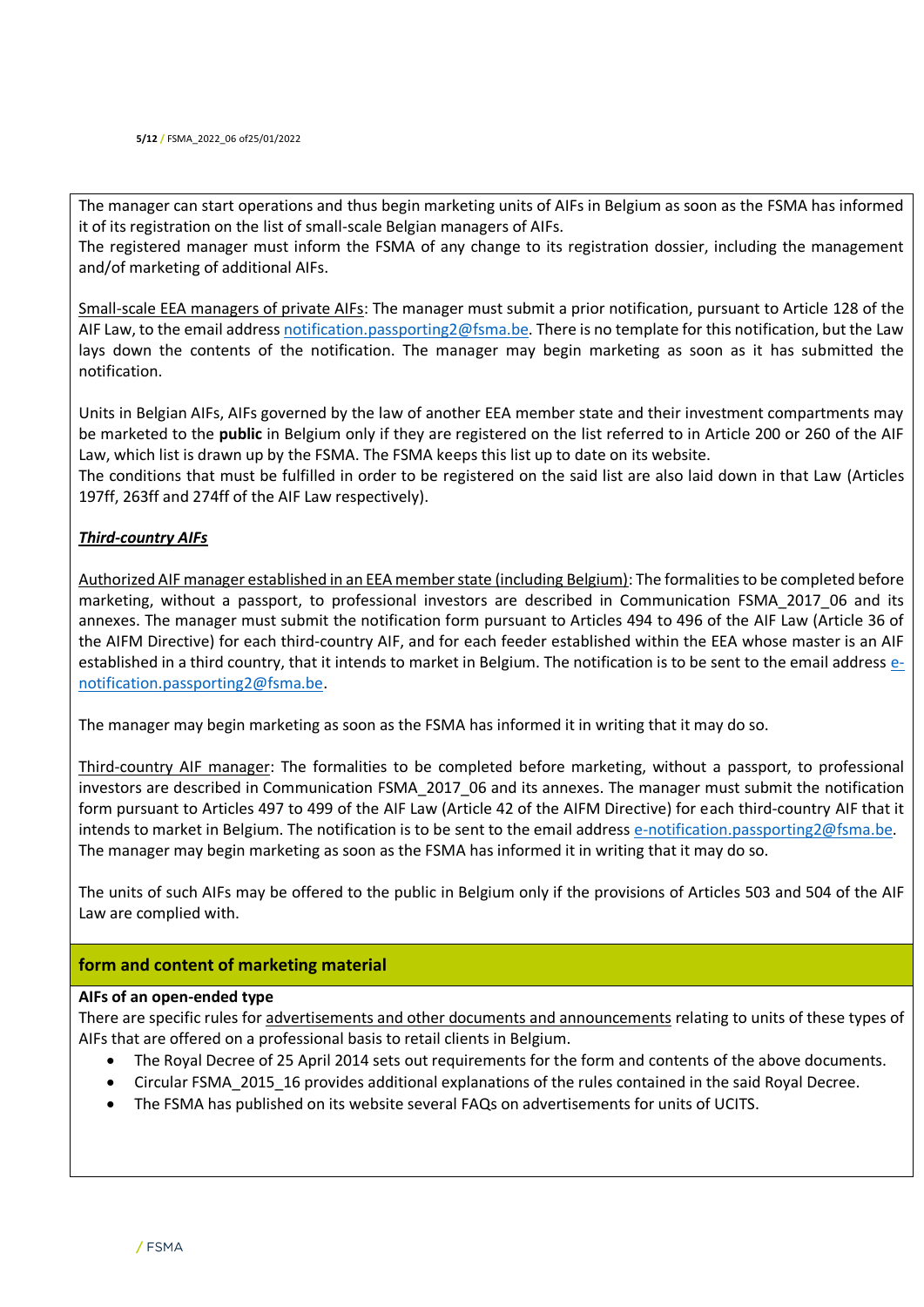The manager can start operations and thus begin marketing units of AIFs in Belgium as soon as the FSMA has informed it of its registration on the [list](https://www.fsma.be/sites/default/files/legacy/aifm_be_0.pdf) of small-scale Belgian managers of AIFs.

The registered manager must inform the FSMA of any change to its registration dossier, including the management and/of marketing of additional AIFs.

Small-scale EEA managers of private AIFs: The manager must submit a prior notification, pursuant to Article 128 of the AIF Law, to the email address [notification.passporting2@fsma.be.](mailto:enotification.passporting2@fsma.be) There is no template for this notification, but the Law lays down the contents of the notification. The manager may begin marketing as soon as it has submitted the notification.

Units in Belgian AIFs, AIFs governed by the law of another EEA member state and their investment compartments may be marketed to the **public** in Belgium only if they are registered on the list referred to in Article 200 or 260 of the AIF Law, which list is drawn up by the FSMA. The FSMA keeps this list up to date on its website.

The conditions that must be fulfilled in order to be registered on the said list are also laid down in that Law (Articles 197ff, 263ff and 274ff of the AIF Law respectively).

# *Third-country AIFs*

Authorized AIF manager established in an EEA member state (including Belgium): The formalities to be completed before marketing, without a passport, to professional investors are described in Communication [FSMA\\_2017\\_06](https://www.fsma.be/sites/default/files/legacy/fsma_2017_06.pdf) and its annexes. The manager must submit [the notification form](https://www.fsma.be/sites/default/files/legacy/content/EN/Circ/fsma_2017_06-01_en.docx) pursuant to Articles 494 to 496 of the AIF Law (Article 36 of the AIFM Directive) for each third-country AIF, and for each feeder established within the EEA whose master is an AIF established in a third country, that it intends to market in Belgium. The notification is to be sent to the email address [e](mailto:e-notification.passporting2@fsma.be)[notification.passporting2@fsma.be.](mailto:e-notification.passporting2@fsma.be)

The manager may begin marketing as soon as the FSMA has informed it in writing that it may do so.

Third-country AIF manager: The formalities to be completed before marketing, without a passport, to professional investors are described in Communication [FSMA\\_2017\\_06](https://www.fsma.be/sites/default/files/legacy/fsma_2017_06.pdf) and its annexes. The manager must submit the [notification](https://www.fsma.be/sites/default/files/legacy/fsma_2017_06-02_en.docx)  [form](https://www.fsma.be/sites/default/files/legacy/fsma_2017_06-02_en.docx) pursuant to Articles 497 to 499 of the AIF Law (Article 42 of the AIFM Directive) for each third-country AIF that it intends to market in Belgium. The notification is to be sent to the email address [e-notification.passporting2@fsma.be.](mailto:e-notification.passporting2@fsma.be) The manager may begin marketing as soon as the FSMA has informed it in writing that it may do so.

The units of such AIFs may be offered to the public in Belgium only if the provisions of Articles 503 and 504 of the AIF Law are complied with.

# **form and content of marketing material**

## **AIFs of an open-ended type**

There are specific rules for advertisements and other documents and announcements relating to units of these types of AIFs that are offered on a professional basis to retail clients in Belgium.

- The Royal Decree of 25 April 2014 sets out requirements for the form and contents of the above documents.
- Circular FSMA\_2015\_16 provides additional explanations of the rules contained in the said Royal Decree.
- The FSMA has published on its website several FAQs on advertisements for units of UCITS.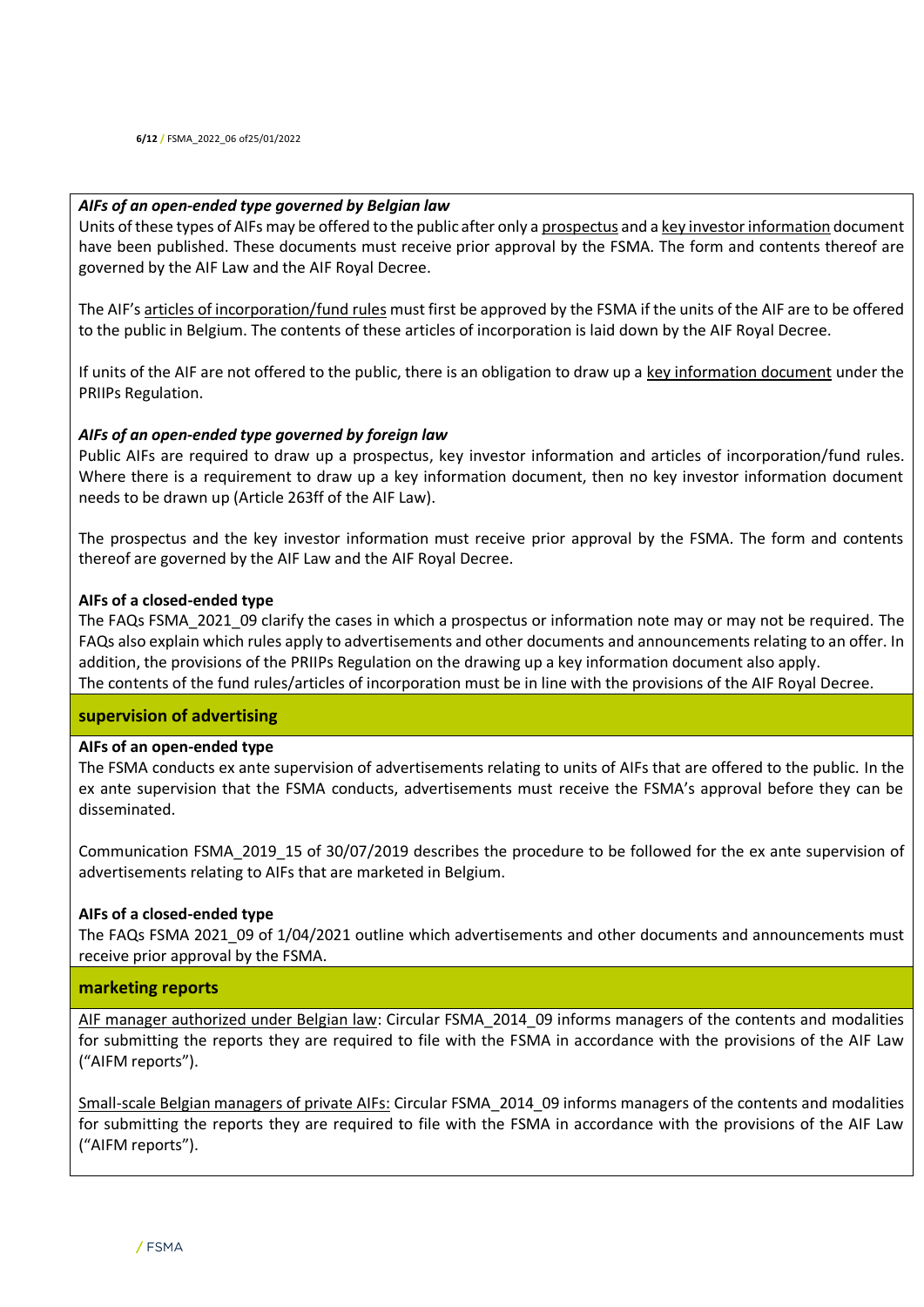## *AIFs of an open-ended type governed by Belgian law*

Units of these types of AIFs may be offered to the public after only a prospectus and a key investor information document have been published. These documents must receive prior approval by the FSMA. The form and contents thereof are governed by the AIF Law and the [AIF Royal Decree.](https://www.fsma.be/sites/default/files/legacy/rd_25-02-2017.pdf%20(available%20in%20Dutch%20and%20French%20only))

The AIF's articles of incorporation/fund rules must first be approved by the FSMA if the units of the AIF are to be offered to the public in Belgium. The contents of these articles of incorporation is laid down by the AIF Royal Decree.

If units of the AIF are not offered to the public, there is an obligation to draw up a key information document under the PRIIPs Regulation.

## *AIFs of an open-ended type governed by foreign law*

Public AIFs are required to draw up a prospectus, key investor information and articles of incorporation/fund rules. Where there is a requirement to draw up a key information document, then no key investor information document needs to be drawn up (Article 263ff of the AIF Law).

The prospectus and the key investor information must receive prior approval by the FSMA. The form and contents thereof are governed by the AIF Law and the [AIF Royal Decree.](https://www.fsma.be/sites/default/files/legacy/rd_25-02-2017.pdf%20(available%20in%20Dutch%20and%20French%20only))

#### **AIFs of a closed-ended type**

The FAQs FSMA\_2021\_09 clarify the cases in which a prospectus or information note may or may not be required. The FAQs also explain which rules apply to advertisements and other documents and announcements relating to an offer. In addition, the provisions of the PRIIPs Regulation on the drawing up a key information document also apply. The contents of the fund rules/articles of incorporation must be in line with the provisions of the AIF Royal Decree.

## **supervision of advertising**

## **AIFs of an open-ended type**

The FSMA conducts ex ante supervision of advertisements relating to units of AIFs that are offered to the public. In the ex ante supervision that the FSMA conducts, advertisements must receive the FSMA's approval before they can be disseminated.

Communication FSMA\_2019\_15 of 30/07/2019 describes the procedure to be followed for the ex ante supervision of advertisements relating to AIFs that are marketed in Belgium.

## **AIFs of a closed-ended type**

The FAQs FSMA 2021\_09 of 1/04/2021 outline which advertisements and other documents and announcements must receive prior approval by the FSMA.

#### **marketing reports**

AIF manager authorized under Belgian law: Circular [FSMA\\_2014\\_09](https://www.fsma.be/sites/default/files/legacy/sitecore/media%20library/Files/fsmafiles/circ/en/2014/fsma_2014_09.pdf) informs managers of the contents and modalities for submitting the reports they are required to file with the FSMA in accordance with the provisions of the AIF Law ("AIFM reports").

Small-scale Belgian managers of private AIFs: Circula[r FSMA\\_2014\\_09](https://www.fsma.be/sites/default/files/legacy/sitecore/media%20library/Files/fsmafiles/circ/en/2014/fsma_2014_09.pdf) informs managers of the contents and modalities for submitting the reports they are required to file with the FSMA in accordance with the provisions of the AIF Law ("AIFM reports").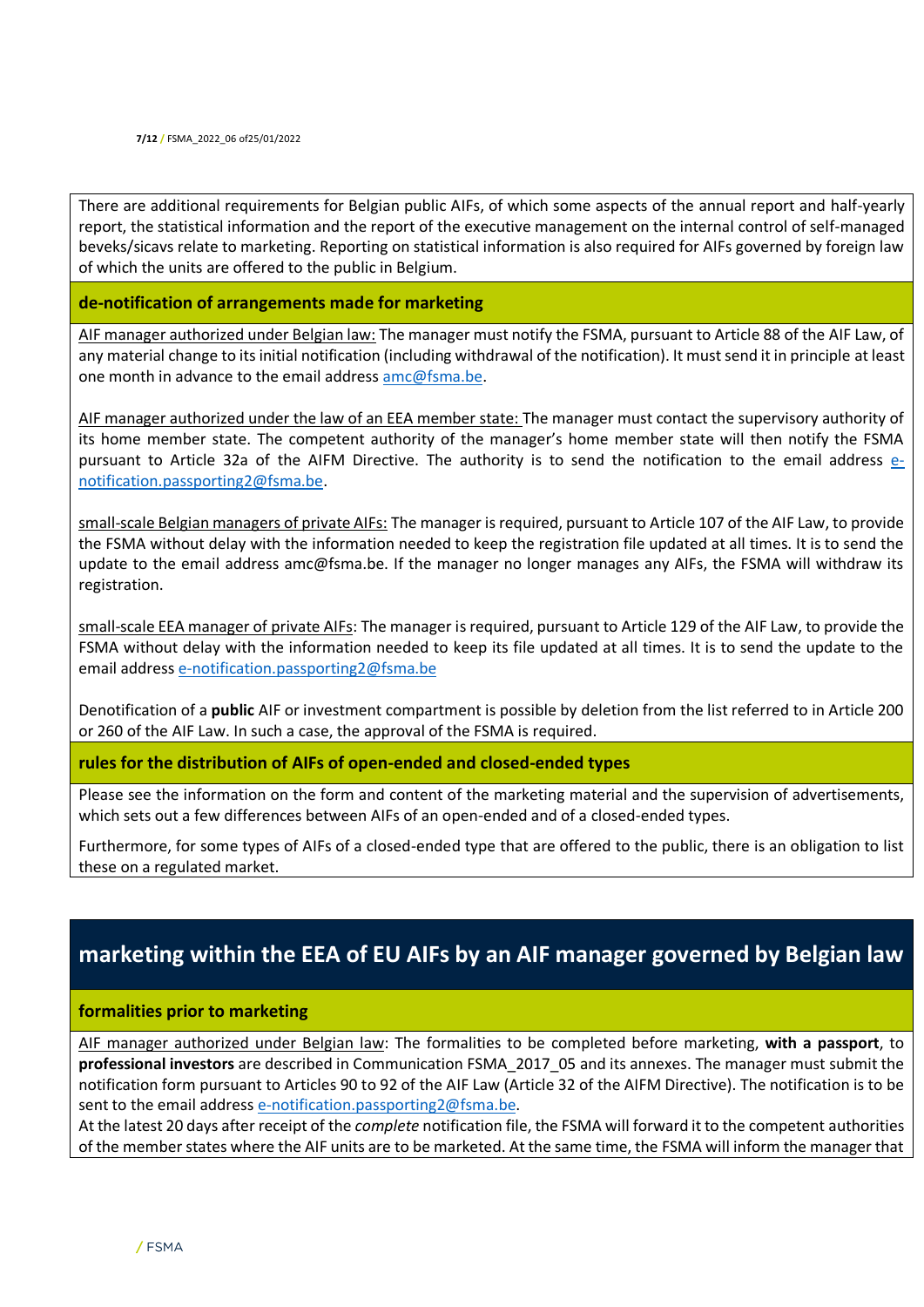There are additional requirements for Belgian public AIFs, of which some aspects of the annual report and half-yearly report, the statistical information and the report of the executive management on the internal control of self-managed beveks/sicavs relate to marketing. Reporting on statistical information is also required for AIFs governed by foreign law of which the units are offered to the public in Belgium.

## **de-notification of arrangements made for marketing**

AIF manager authorized under Belgian law: The manager must notify the FSMA, pursuant to Article 88 of the AIF Law, of any material change to its initial notification (including withdrawal of the notification). It must send it in principle at least one month in advance to the email address [amc@fsma.be.](mailto:amc@fsma.be)

AIF manager authorized under the law of an EEA member state: The manager must contact the supervisory authority of its home member state. The competent authority of the manager's home member state will then notify the FSMA pursuant to Article 32a of the AIFM Directive. The authority is to send the notification to the email address [e](mailto:e-notification.passporting2@fsma.be)[notification.passporting2@fsma.be.](mailto:e-notification.passporting2@fsma.be)

small-scale Belgian managers of private AIFs: The manager is required, pursuant to Article 107 of the AIF Law, to provide the FSMA without delay with the information needed to keep the registration file updated at all times. It is to send the update to the email address amc@fsma.be. If the manager no longer manages any AIFs, the FSMA will withdraw its registration.

small-scale EEA manager of private AIFs: The manager is required, pursuant to Article 129 of the AIF Law, to provide the FSMA without delay with the information needed to keep its file updated at all times. It is to send the update to the email address [e-notification.passporting2@fsma.be](mailto:e-notification.passporting2@fsma.be)

Denotification of a **public** AIF or investment compartment is possible by deletion from the list referred to in Article 200 or 260 of the AIF Law. In such a case, the approval of the FSMA is required.

# **rules for the distribution of AIFs of open-ended and closed-ended types**

Please see the information on the form and content of the marketing material and the supervision of advertisements, which sets out a few differences between AIFs of an open-ended and of a closed-ended types.

Furthermore, for some types of AIFs of a closed-ended type that are offered to the public, there is an obligation to list these on a regulated market.

# **marketing within the EEA of EU AIFs by an AIF manager governed by Belgian law**

# **formalities prior to marketing**

AIF manager authorized under Belgian law: The formalities to be completed before marketing, **with a passport**, to **professional investors** are described in Communication [FSMA\\_2017\\_05](https://www.fsma.be/sites/default/files/legacy/fsma_2017_05_fr_0.pdf) and its annexes. The manager must submit the [notification form](https://www.fsma.be/sites/default/files/legacy/fsma_2017_05-01_nl.pdf) pursuant to Articles 90 to 92 of the AIF Law (Article 32 of the AIFM Directive). The notification is to be sent to the email address [e-notification.passporting2@fsma.be.](mailto:e-notification.passporting2@fsma.be)

At the latest 20 days after receipt of the *complete* notification file, the FSMA will forward it to the competent authorities of the member states where the AIF units are to be marketed. At the same time, the FSMA will inform the manager that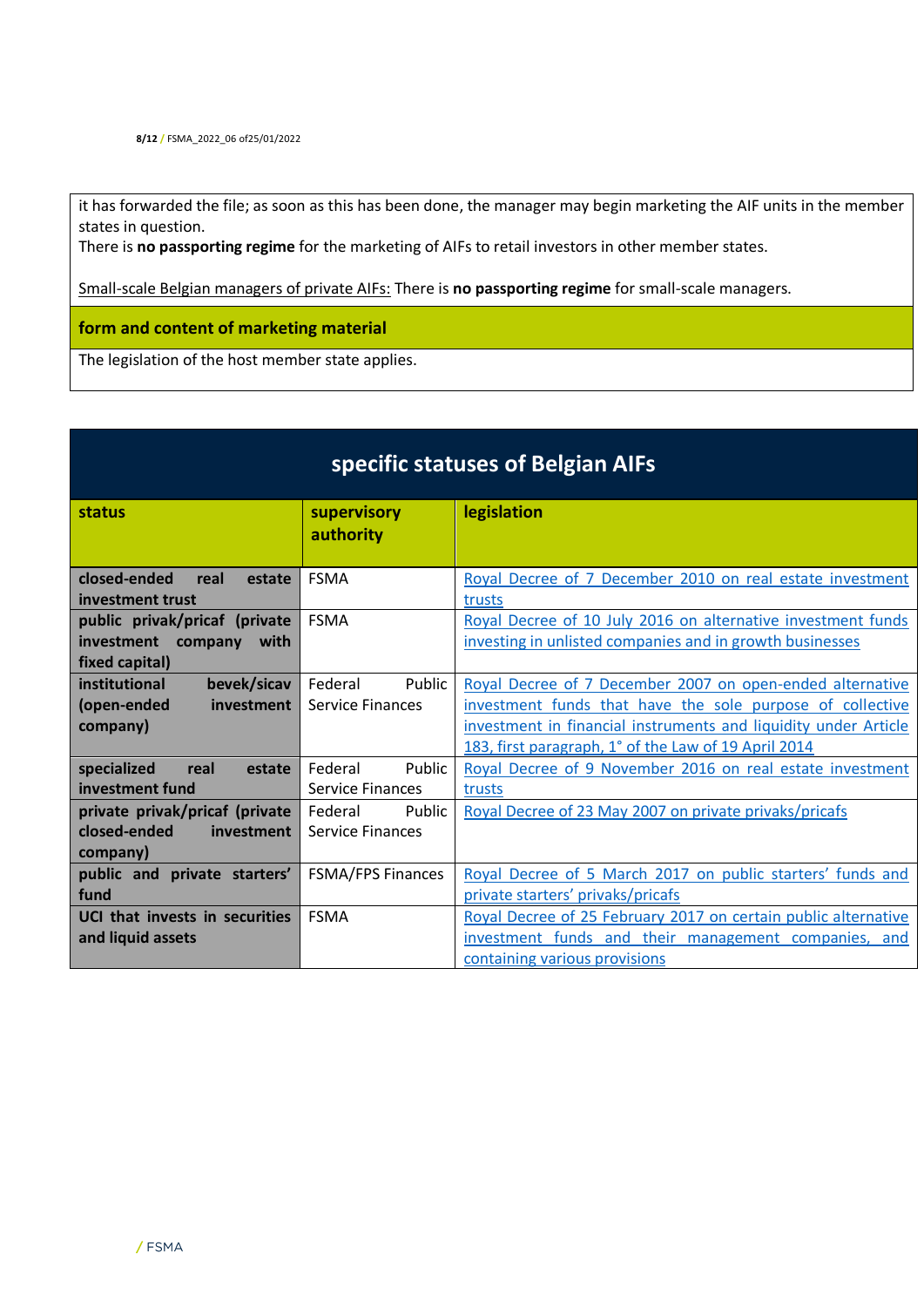it has forwarded the file; as soon as this has been done, the manager may begin marketing the AIF units in the member states in question.

There is **no passporting regime** for the marketing of AIFs to retail investors in other member states.

Small-scale Belgian managers of private AIFs: There is **no passporting regime** for small-scale managers.

## **form and content of marketing material**

The legislation of the host member state applies.

| specific statuses of Belgian AIFs                                                       |                                       |                                                                                                                                                                                                                                                   |
|-----------------------------------------------------------------------------------------|---------------------------------------|---------------------------------------------------------------------------------------------------------------------------------------------------------------------------------------------------------------------------------------------------|
| status                                                                                  | supervisory<br>authority              | legislation                                                                                                                                                                                                                                       |
| closed-ended<br>real<br>estate<br>investment trust                                      | <b>FSMA</b>                           | Royal Decree of 7 December 2010 on real estate investment<br>trusts                                                                                                                                                                               |
| public privak/pricaf (private<br><i>investment</i><br>with<br>company<br>fixed capital) | <b>FSMA</b>                           | Royal Decree of 10 July 2016 on alternative investment funds<br>investing in unlisted companies and in growth businesses                                                                                                                          |
| institutional<br>bevek/sicav<br>(open-ended<br>investment<br>company)                   | Federal<br>Public<br>Service Finances | Royal Decree of 7 December 2007 on open-ended alternative<br>investment funds that have the sole purpose of collective<br>investment in financial instruments and liquidity under Article<br>183, first paragraph, 1° of the Law of 19 April 2014 |
| specialized<br>estate<br>real<br>investment fund                                        | Federal<br>Public<br>Service Finances | Royal Decree of 9 November 2016 on real estate investment<br>trusts                                                                                                                                                                               |
| private privak/pricaf (private<br>closed-ended<br>investment<br>company)                | Federal<br>Public<br>Service Finances | Royal Decree of 23 May 2007 on private privaks/pricafs                                                                                                                                                                                            |
| public and private starters'<br>fund                                                    | <b>FSMA/FPS Finances</b>              | Royal Decree of 5 March 2017 on public starters' funds and<br>private starters' privaks/pricafs                                                                                                                                                   |
| UCI that invests in securities<br>and liquid assets                                     | <b>FSMA</b>                           | Royal Decree of 25 February 2017 on certain public alternative<br>investment funds and their management companies, and<br>containing various provisions                                                                                           |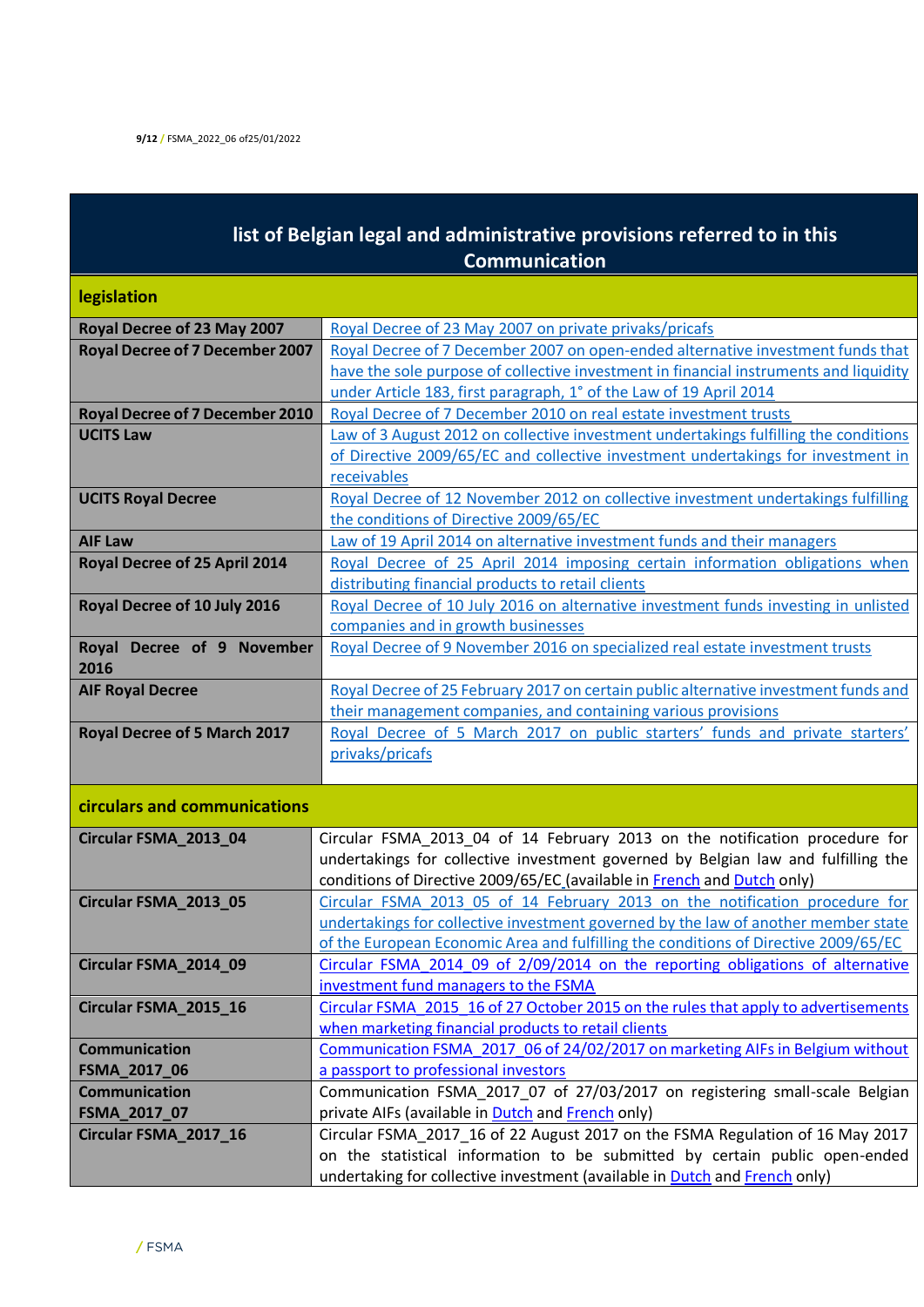# **list of Belgian legal and administrative provisions referred to in this Communication**

**legislation**

| Royal Decree of 23 May 2007            | Royal Decree of 23 May 2007 on private privaks/pricafs                                |
|----------------------------------------|---------------------------------------------------------------------------------------|
| <b>Royal Decree of 7 December 2007</b> | Royal Decree of 7 December 2007 on open-ended alternative investment funds that       |
|                                        | have the sole purpose of collective investment in financial instruments and liquidity |
|                                        | under Article 183, first paragraph, 1° of the Law of 19 April 2014                    |
| <b>Royal Decree of 7 December 2010</b> | Royal Decree of 7 December 2010 on real estate investment trusts                      |
| <b>UCITS Law</b>                       | Law of 3 August 2012 on collective investment undertakings fulfilling the conditions  |
|                                        | of Directive 2009/65/EC and collective investment undertakings for investment in      |
|                                        | receivables                                                                           |
| <b>UCITS Royal Decree</b>              | Royal Decree of 12 November 2012 on collective investment undertakings fulfilling     |
|                                        | the conditions of Directive 2009/65/EC                                                |
| <b>AIF Law</b>                         | Law of 19 April 2014 on alternative investment funds and their managers               |
| Royal Decree of 25 April 2014          | Royal Decree of 25 April 2014 imposing certain information obligations when           |
|                                        | distributing financial products to retail clients                                     |
| Royal Decree of 10 July 2016           | Royal Decree of 10 July 2016 on alternative investment funds investing in unlisted    |
|                                        | companies and in growth businesses                                                    |
| Decree of 9 November<br>Royal          | Royal Decree of 9 November 2016 on specialized real estate investment trusts          |
| 2016                                   |                                                                                       |
| <b>AIF Royal Decree</b>                | Royal Decree of 25 February 2017 on certain public alternative investment funds and   |
|                                        | their management companies, and containing various provisions                         |
| <b>Royal Decree of 5 March 2017</b>    | Royal Decree of 5 March 2017 on public starters' funds and private starters'          |
|                                        | privaks/pricafs                                                                       |
|                                        |                                                                                       |

# **circulars and communications**

| Circular FSMA_2013_04 | Circular FSMA 2013 04 of 14 February 2013 on the notification procedure for         |
|-----------------------|-------------------------------------------------------------------------------------|
|                       |                                                                                     |
|                       | undertakings for collective investment governed by Belgian law and fulfilling the   |
|                       | conditions of Directive 2009/65/EC (available in French and Dutch only)             |
| Circular FSMA 2013 05 | Circular FSMA 2013 05 of 14 February 2013 on the notification procedure for         |
|                       | undertakings for collective investment governed by the law of another member state  |
|                       | of the European Economic Area and fulfilling the conditions of Directive 2009/65/EC |
| Circular FSMA 2014 09 | Circular FSMA 2014 09 of 2/09/2014 on the reporting obligations of alternative      |
|                       | investment fund managers to the FSMA                                                |
| Circular FSMA_2015_16 | Circular FSMA 2015 16 of 27 October 2015 on the rules that apply to advertisements  |
|                       | when marketing financial products to retail clients                                 |
| <b>Communication</b>  | Communication FSMA 2017 06 of 24/02/2017 on marketing AIFs in Belgium without       |
| FSMA_2017_06          | a passport to professional investors                                                |
| <b>Communication</b>  | Communication FSMA 2017 07 of 27/03/2017 on registering small-scale Belgian         |
| FSMA_2017_07          | private AIFs (available in Dutch and French only)                                   |
| Circular FSMA 2017 16 | Circular FSMA 2017 16 of 22 August 2017 on the FSMA Regulation of 16 May 2017       |
|                       | on the statistical information to be submitted by certain public open-ended         |
|                       | undertaking for collective investment (available in Dutch and French only)          |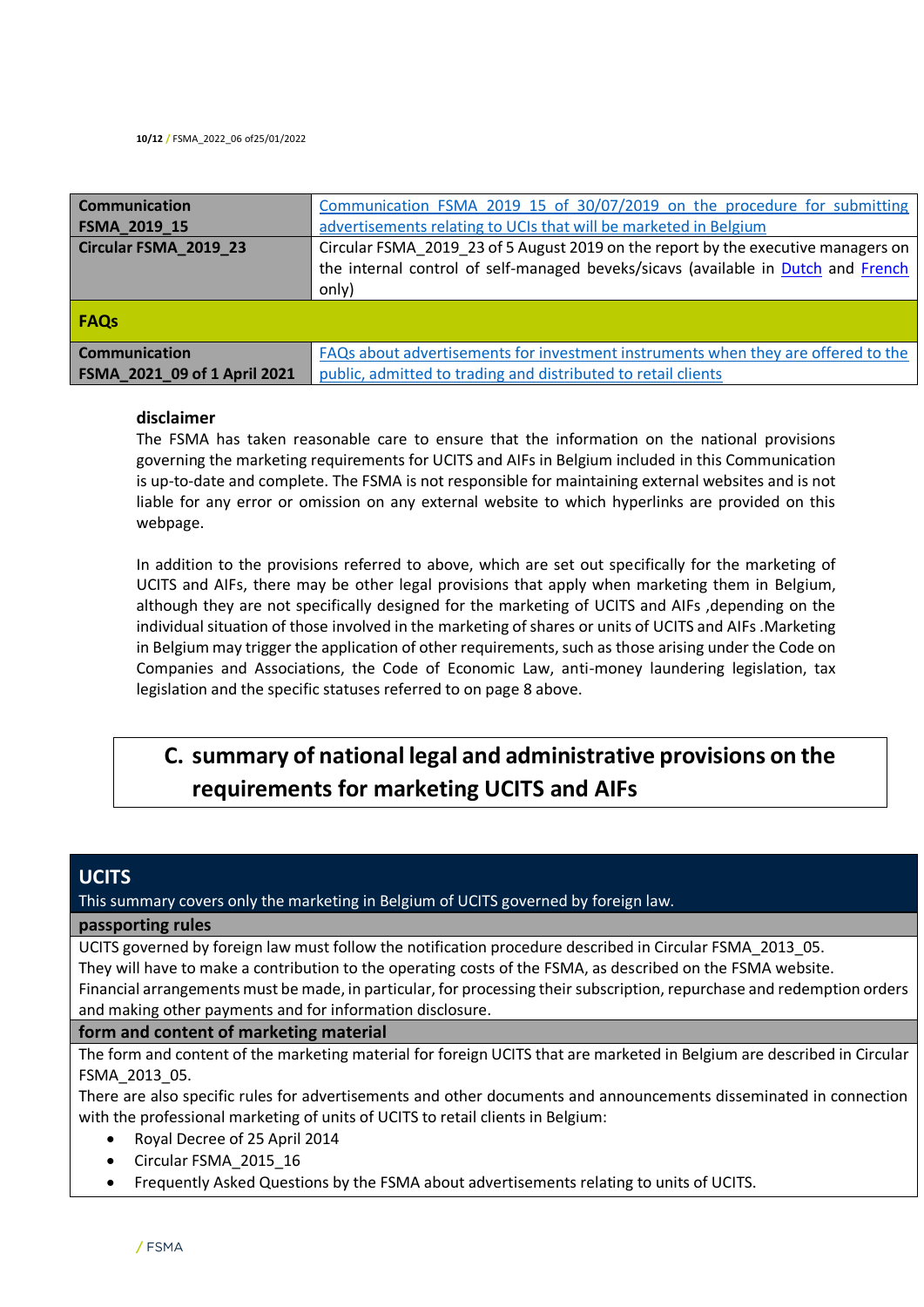| <b>Communication</b>         | Communication FSMA 2019 15 of 30/07/2019 on the procedure for submitting                                                                                                        |
|------------------------------|---------------------------------------------------------------------------------------------------------------------------------------------------------------------------------|
| FSMA_2019_15                 | advertisements relating to UCIs that will be marketed in Belgium                                                                                                                |
| Circular FSMA 2019 23        | Circular FSMA 2019 23 of 5 August 2019 on the report by the executive managers on<br>the internal control of self-managed beveks/sicavs (available in Dutch and French<br>only) |
| <b>FAQs</b>                  |                                                                                                                                                                                 |
| <b>Communication</b>         | FAQs about advertisements for investment instruments when they are offered to the                                                                                               |
| FSMA 2021 09 of 1 April 2021 | public, admitted to trading and distributed to retail clients                                                                                                                   |

## **disclaimer**

The FSMA has taken reasonable care to ensure that the information on the national provisions governing the marketing requirements for UCITS and AIFs in Belgium included in this Communication is up-to-date and complete. The FSMA is not responsible for maintaining external websites and is not liable for any error or omission on any external website to which hyperlinks are provided on this webpage.

In addition to the provisions referred to above, which are set out specifically for the marketing of UCITS and AIFs, there may be other legal provisions that apply when marketing them in Belgium, although they are not specifically designed for the marketing of UCITS and AIFs ,depending on the individual situation of those involved in the marketing of shares or units of UCITS and AIFs .Marketing in Belgium may trigger the application of other requirements, such as those arising under the Code on Companies and Associations, the Code of Economic Law, anti-money laundering legislation, tax legislation and the specific statuses referred to on page 8 above.

# **C. summary of national legal and administrative provisions on the requirements for marketing UCITS and AIFs**

# **UCITS**

This summary covers only the marketing in Belgium of UCITS governed by foreign law.

## **passporting rules**

UCITS governed by foreign law must follow the notification procedure described in Circular FSMA\_2013\_05. They will have to make a contribution to the operating costs of the FSMA, as described on the FSMA website. Financial arrangements must be made, in particular, for processing their subscription, repurchase and redemption orders and making other payments and for information disclosure.

## **form and content of marketing material**

The form and content of the marketing material for foreign UCITS that are marketed in Belgium are described in Circular FSMA\_2013\_05.

There are also specific rules for advertisements and other documents and announcements disseminated in connection with the professional marketing of units of UCITS to retail clients in Belgium:

- Royal Decree of 25 April 2014
- Circular FSMA\_2015\_16
- Frequently Asked Questions by the FSMA about advertisements relating to units of UCITS.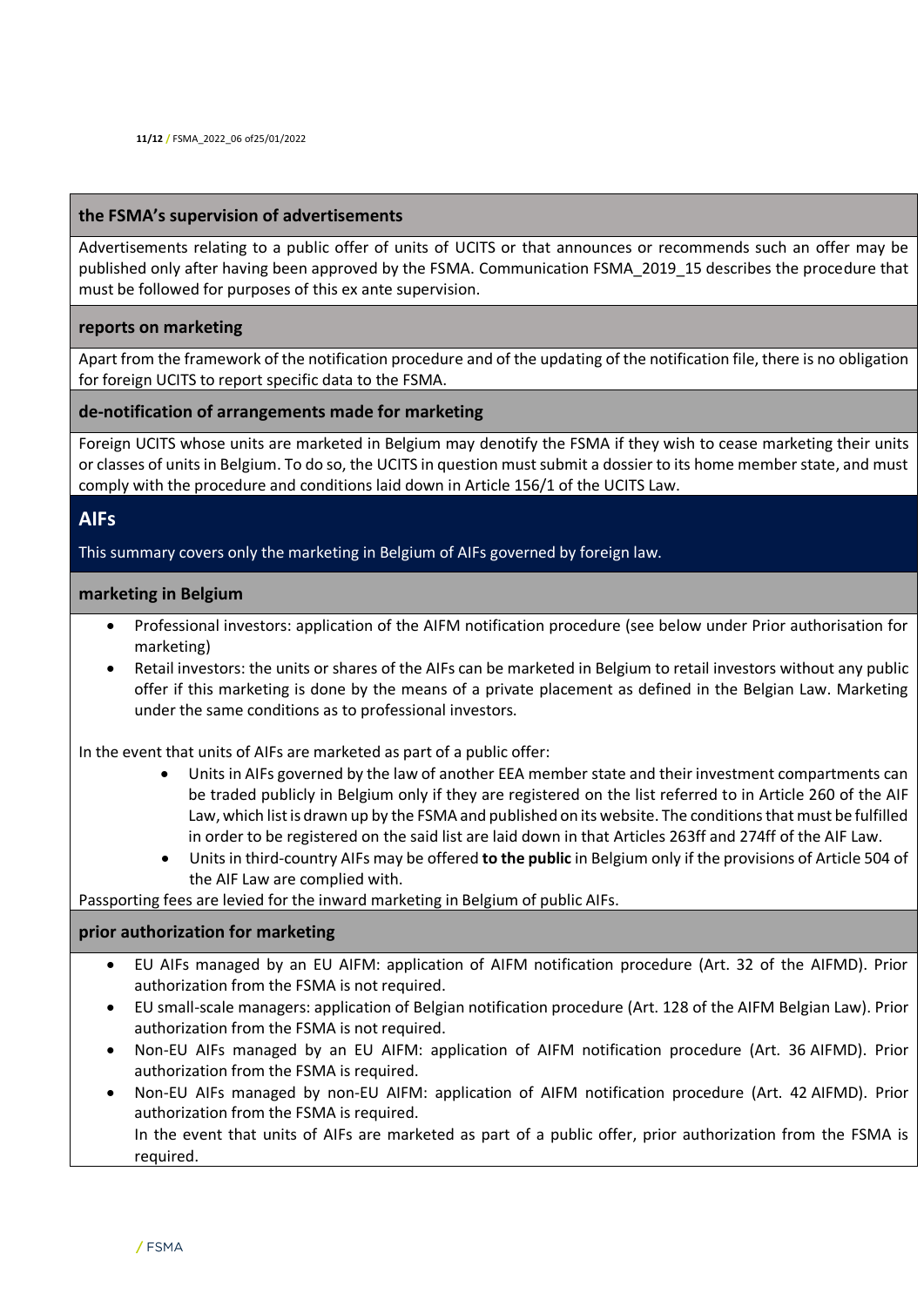## **the FSMA's supervision of advertisements**

Advertisements relating to a public offer of units of UCITS or that announces or recommends such an offer may be published only after having been approved by the FSMA. Communication FSMA\_2019\_15 describes the procedure that must be followed for purposes of this ex ante supervision.

#### **reports on marketing**

Apart from the framework of the notification procedure and of the updating of the notification file, there is no obligation for foreign UCITS to report specific data to the FSMA.

#### **de-notification of arrangements made for marketing**

Foreign UCITS whose units are marketed in Belgium may denotify the FSMA if they wish to cease marketing their units or classes of units in Belgium. To do so, the UCITS in question must submit a dossier to its home member state, and must comply with the procedure and conditions laid down in Article 156/1 of the UCITS Law.

# **AIFs**

This summary covers only the marketing in Belgium of AIFs governed by foreign law.

## **marketing in Belgium**

- Professional investors: application of the AIFM notification procedure (see below under Prior authorisation for marketing)
- Retail investors: the units or shares of the AIFs can be marketed in Belgium to retail investors without any public offer if this marketing is done by the means of a private placement as defined in the Belgian Law. Marketing under the same conditions as to professional investors.

In the event that units of AIFs are marketed as part of a public offer:

- Units in AIFs governed by the law of another EEA member state and their investment compartments can be traded publicly in Belgium only if they are registered on the list referred to in Article 260 of the AIF Law, which list is drawn up by the FSMA and published on its website. The conditions that must be fulfilled in order to be registered on the said list are laid down in that Articles 263ff and 274ff of the AIF Law.
- Units in third-country AIFs may be offered **to the public** in Belgium only if the provisions of Article 504 of the AIF Law are complied with.

Passporting fees are levied for the inward marketing in Belgium of public AIFs.

## **prior authorization for marketing**

- EU AIFs managed by an EU AIFM: application of AIFM notification procedure (Art. 32 of the AIFMD). Prior authorization from the FSMA is not required.
- EU small-scale managers: application of Belgian notification procedure (Art. 128 of the AIFM Belgian Law). Prior authorization from the FSMA is not required.
- Non-EU AIFs managed by an EU AIFM: application of AIFM notification procedure (Art. 36 AIFMD). Prior authorization from the FSMA is required.
- Non-EU AIFs managed by non-EU AIFM: application of AIFM notification procedure (Art. 42 AIFMD). Prior authorization from the FSMA is required.

 In the event that units of AIFs are marketed as part of a public offer, prior authorization from the FSMA is required.